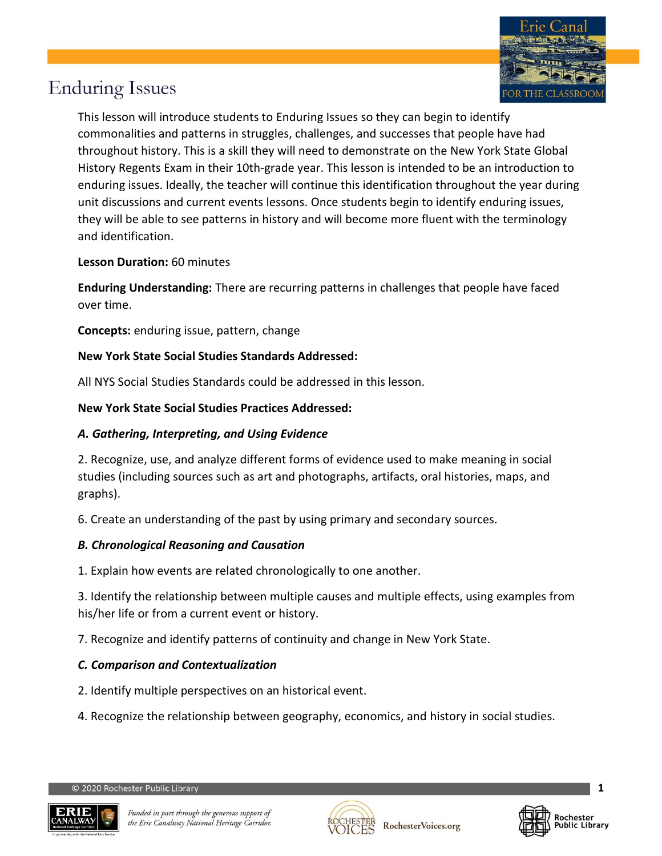

This lesson will introduce students to Enduring Issues so they can begin to identify commonalities and patterns in struggles, challenges, and successes that people have had throughout history. This is a skill they will need to demonstrate on the New York State Global History Regents Exam in their 10th-grade year. This lesson is intended to be an introduction to enduring issues. Ideally, the teacher will continue this identification throughout the year during unit discussions and current events lessons. Once students begin to identify enduring issues, they will be able to see patterns in history and will become more fluent with the terminology and identification.

### **Lesson Duration:** 60 minutes

**Enduring Understanding:** There are recurring patterns in challenges that people have faced over time.

**Concepts:** enduring issue, pattern, change

### **New York State Social Studies Standards Addressed:**

All NYS Social Studies Standards could be addressed in this lesson.

### **New York State Social Studies Practices Addressed:**

### *A. Gathering, Interpreting, and Using Evidence*

2. Recognize, use, and analyze different forms of evidence used to make meaning in social studies (including sources such as art and photographs, artifacts, oral histories, maps, and graphs).

6. Create an understanding of the past by using primary and secondary sources.

### *B. Chronological Reasoning and Causation*

1. Explain how events are related chronologically to one another.

3. Identify the relationship between multiple causes and multiple effects, using examples from his/her life or from a current event or history.

7. Recognize and identify patterns of continuity and change in New York State.

### *C. Comparison and Contextualization*

- 2. Identify multiple perspectives on an historical event.
- 4. Recognize the relationship between geography, economics, and history in social studies.





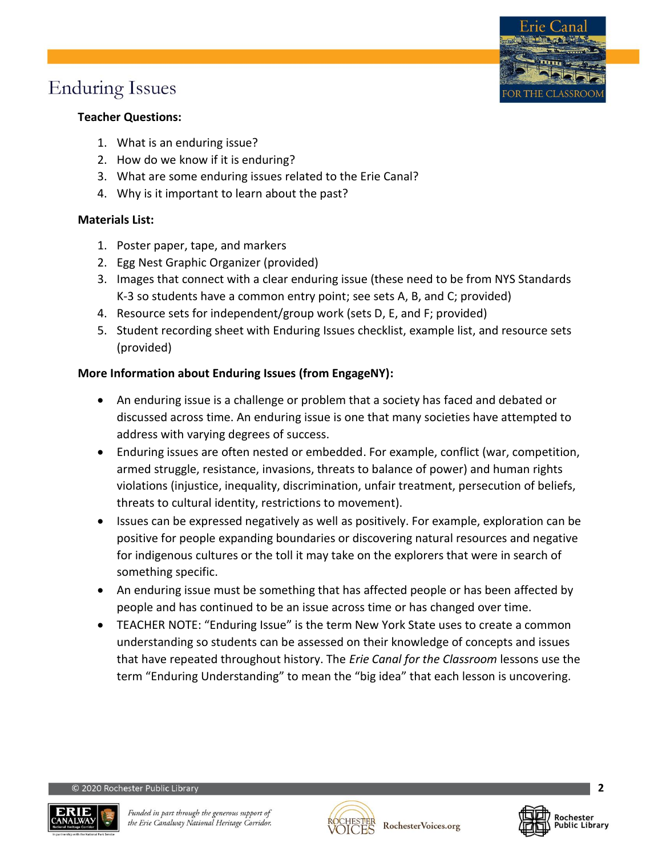

- 1. What is an enduring issue?
- 2. How do we know if it is enduring?
- 3. What are some enduring issues related to the Erie Canal?
- 4. Why is it important to learn about the past?

### **Materials List:**

- 1. Poster paper, tape, and markers
- 2. Egg Nest Graphic Organizer (provided)
- 3. Images that connect with a clear enduring issue (these need to be from NYS Standards K-3 so students have a common entry point; see sets A, B, and C; provided)
- 4. Resource sets for independent/group work (sets D, E, and F; provided)
- 5. Student recording sheet with Enduring Issues checklist, example list, and resource sets (provided)

### **More Information about Enduring Issues (from EngageNY):**

- An enduring issue is a challenge or problem that a society has faced and debated or discussed across time. An enduring issue is one that many societies have attempted to address with varying degrees of success.
- Enduring issues are often nested or embedded. For example, conflict (war, competition, armed struggle, resistance, invasions, threats to balance of power) and human rights violations (injustice, inequality, discrimination, unfair treatment, persecution of beliefs, threats to cultural identity, restrictions to movement).
- Issues can be expressed negatively as well as positively. For example, exploration can be positive for people expanding boundaries or discovering natural resources and negative for indigenous cultures or the toll it may take on the explorers that were in search of something specific.
- An enduring issue must be something that has affected people or has been affected by people and has continued to be an issue across time or has changed over time.
- TEACHER NOTE: "Enduring Issue" is the term New York State uses to create a common understanding so students can be assessed on their knowledge of concepts and issues that have repeated throughout history. The *Erie Canal for the Classroom* lessons use the term "Enduring Understanding" to mean the "big idea" that each lesson is uncovering.

2020 Rochester Public Library





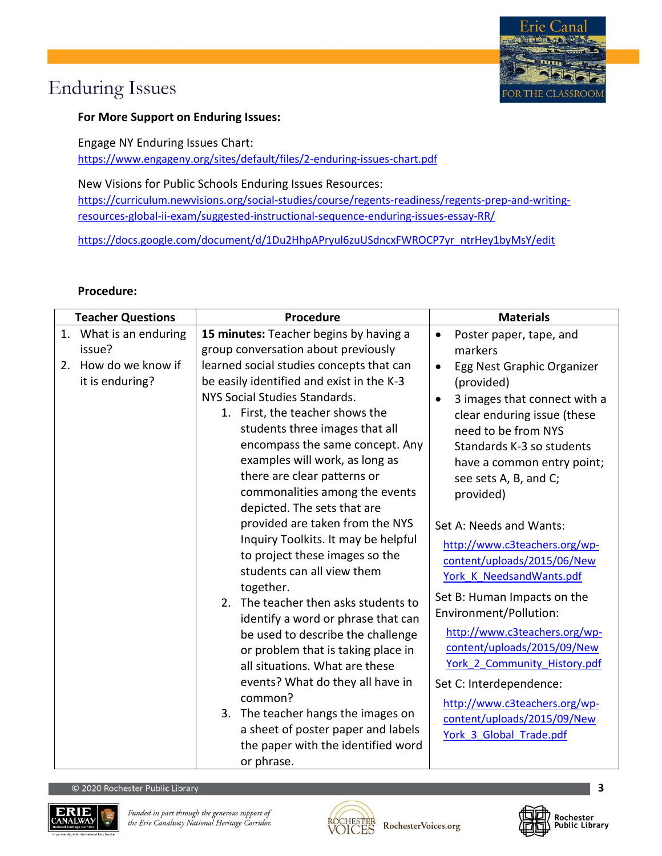

### **For More Support on Enduring Issues:**

Engage NY Enduring Issues Chart: <https://www.engageny.org/sites/default/files/2-enduring-issues-chart.pdf>

New Visions for Public Schools Enduring Issues Resources: [https://curriculum.newvisions.org/social-studies/course/regents-readiness/regents-prep-and-writing](https://curriculum.newvisions.org/social-studies/course/regents-readiness/regents-prep-and-writing-resources-global-ii-exam/suggested-instructional-sequence-enduring-issues-essay-RR/)[resources-global-ii-exam/suggested-instructional-sequence-enduring-issues-essay-RR/](https://curriculum.newvisions.org/social-studies/course/regents-readiness/regents-prep-and-writing-resources-global-ii-exam/suggested-instructional-sequence-enduring-issues-essay-RR/)

[https://docs.google.com/document/d/1Du2HhpAPryul6zuUSdncxFWROCP7yr\\_ntrHey1byMsY/edit](https://docs.google.com/document/d/1Du2HhpAPryul6zuUSdncxFWROCP7yr_ntrHey1byMsY/edit)

#### **Procedure:**

| <b>Teacher Questions</b> |                                         | <b>Procedure</b>                                                                                                                                                                                                                                                                                                                                                                                                                                                                                                                                                                                                                           | <b>Materials</b>                                                                                                                                                                                                                                                                                                                                                                                                                                                           |
|--------------------------|-----------------------------------------|--------------------------------------------------------------------------------------------------------------------------------------------------------------------------------------------------------------------------------------------------------------------------------------------------------------------------------------------------------------------------------------------------------------------------------------------------------------------------------------------------------------------------------------------------------------------------------------------------------------------------------------------|----------------------------------------------------------------------------------------------------------------------------------------------------------------------------------------------------------------------------------------------------------------------------------------------------------------------------------------------------------------------------------------------------------------------------------------------------------------------------|
|                          | 1. What is an enduring                  | 15 minutes: Teacher begins by having a                                                                                                                                                                                                                                                                                                                                                                                                                                                                                                                                                                                                     | Poster paper, tape, and<br>$\bullet$                                                                                                                                                                                                                                                                                                                                                                                                                                       |
|                          | issue?                                  | group conversation about previously                                                                                                                                                                                                                                                                                                                                                                                                                                                                                                                                                                                                        | markers                                                                                                                                                                                                                                                                                                                                                                                                                                                                    |
|                          | 2. How do we know if<br>it is enduring? | learned social studies concepts that can<br>be easily identified and exist in the K-3<br>NYS Social Studies Standards.<br>1. First, the teacher shows the<br>students three images that all<br>encompass the same concept. Any<br>examples will work, as long as<br>there are clear patterns or<br>commonalities among the events<br>depicted. The sets that are<br>provided are taken from the NYS<br>Inquiry Toolkits. It may be helpful<br>to project these images so the<br>students can all view them<br>together.<br>2. The teacher then asks students to<br>identify a word or phrase that can<br>be used to describe the challenge | Egg Nest Graphic Organizer<br>$\bullet$<br>(provided)<br>3 images that connect with a<br>$\bullet$<br>clear enduring issue (these<br>need to be from NYS<br>Standards K-3 so students<br>have a common entry point;<br>see sets A, B, and C;<br>provided)<br>Set A: Needs and Wants:<br>http://www.c3teachers.org/wp-<br>content/uploads/2015/06/New<br>York K NeedsandWants.pdf<br>Set B: Human Impacts on the<br>Environment/Pollution:<br>http://www.c3teachers.org/wp- |
|                          |                                         | or problem that is taking place in<br>all situations. What are these<br>events? What do they all have in                                                                                                                                                                                                                                                                                                                                                                                                                                                                                                                                   | content/uploads/2015/09/New<br>York 2 Community History.pdf<br>Set C: Interdependence:                                                                                                                                                                                                                                                                                                                                                                                     |
|                          |                                         | common?<br>3. The teacher hangs the images on                                                                                                                                                                                                                                                                                                                                                                                                                                                                                                                                                                                              | http://www.c3teachers.org/wp-<br>content/uploads/2015/09/New                                                                                                                                                                                                                                                                                                                                                                                                               |
|                          |                                         | a sheet of poster paper and labels<br>the paper with the identified word<br>or phrase.                                                                                                                                                                                                                                                                                                                                                                                                                                                                                                                                                     | York 3 Global Trade.pdf                                                                                                                                                                                                                                                                                                                                                                                                                                                    |





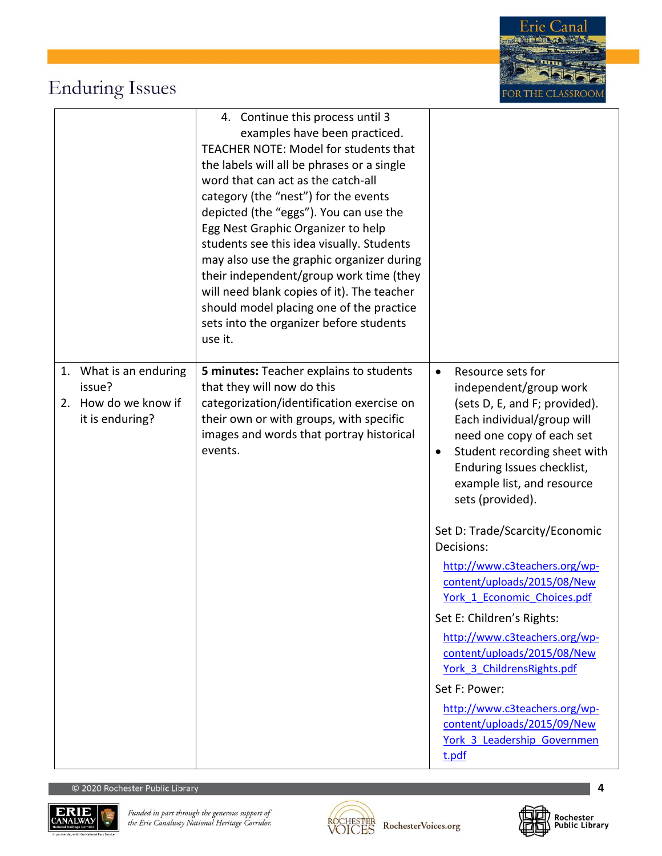

|                                                                             | 4. Continue this process until 3<br>examples have been practiced.<br>TEACHER NOTE: Model for students that<br>the labels will all be phrases or a single<br>word that can act as the catch-all<br>category (the "nest") for the events<br>depicted (the "eggs"). You can use the<br>Egg Nest Graphic Organizer to help<br>students see this idea visually. Students<br>may also use the graphic organizer during<br>their independent/group work time (they<br>will need blank copies of it). The teacher<br>should model placing one of the practice<br>sets into the organizer before students<br>use it. |                                                                                                                                                                                                                                                                                                             |
|-----------------------------------------------------------------------------|-------------------------------------------------------------------------------------------------------------------------------------------------------------------------------------------------------------------------------------------------------------------------------------------------------------------------------------------------------------------------------------------------------------------------------------------------------------------------------------------------------------------------------------------------------------------------------------------------------------|-------------------------------------------------------------------------------------------------------------------------------------------------------------------------------------------------------------------------------------------------------------------------------------------------------------|
| 1. What is an enduring<br>issue?<br>2. How do we know if<br>it is enduring? | 5 minutes: Teacher explains to students<br>that they will now do this<br>categorization/identification exercise on<br>their own or with groups, with specific<br>images and words that portray historical<br>events.                                                                                                                                                                                                                                                                                                                                                                                        | Resource sets for<br>$\bullet$<br>independent/group work<br>(sets D, E, and F; provided).<br>Each individual/group will<br>need one copy of each set<br>Student recording sheet with<br>٠<br>Enduring Issues checklist,<br>example list, and resource<br>sets (provided).<br>Set D: Trade/Scarcity/Economic |
|                                                                             |                                                                                                                                                                                                                                                                                                                                                                                                                                                                                                                                                                                                             | Decisions:<br>http://www.c3teachers.org/wp-<br>content/uploads/2015/08/New<br>York 1 Economic Choices.pdf                                                                                                                                                                                                   |
|                                                                             |                                                                                                                                                                                                                                                                                                                                                                                                                                                                                                                                                                                                             | Set E: Children's Rights:                                                                                                                                                                                                                                                                                   |
|                                                                             |                                                                                                                                                                                                                                                                                                                                                                                                                                                                                                                                                                                                             | http://www.c3teachers.org/wp-<br>content/uploads/2015/08/New<br>York 3 ChildrensRights.pdf                                                                                                                                                                                                                  |
|                                                                             |                                                                                                                                                                                                                                                                                                                                                                                                                                                                                                                                                                                                             | Set F: Power:                                                                                                                                                                                                                                                                                               |
|                                                                             |                                                                                                                                                                                                                                                                                                                                                                                                                                                                                                                                                                                                             | http://www.c3teachers.org/wp-<br>content/uploads/2015/09/New<br>York 3 Leadership Governmen<br>t.pdf                                                                                                                                                                                                        |





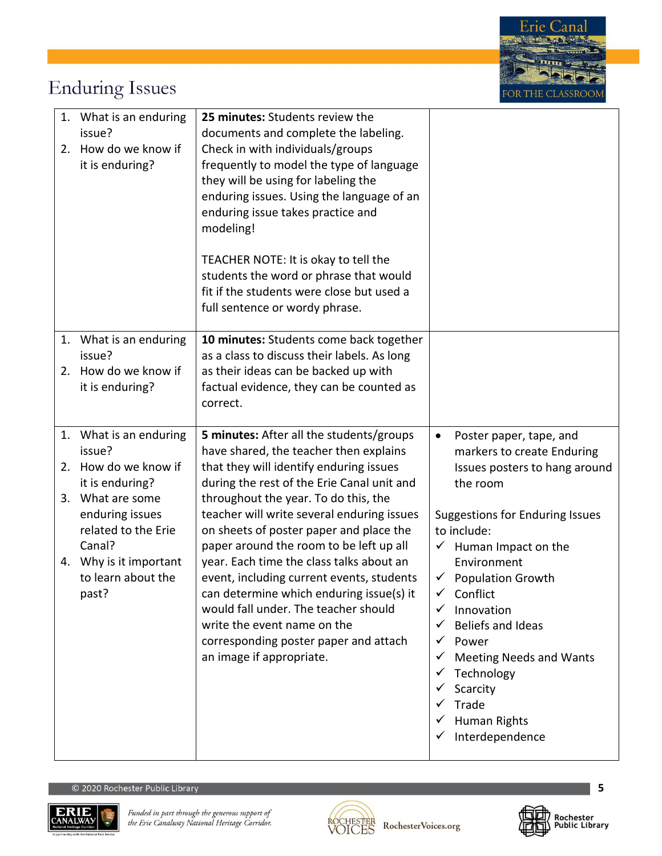|    | 1. What is an enduring<br>issue?<br>2. How do we know if<br>it is enduring?                                                                                                                               | 25 minutes: Students review the<br>documents and complete the labeling.<br>Check in with individuals/groups<br>frequently to model the type of language<br>they will be using for labeling the<br>enduring issues. Using the language of an<br>enduring issue takes practice and<br>modeling!<br>TEACHER NOTE: It is okay to tell the<br>students the word or phrase that would<br>fit if the students were close but used a<br>full sentence or wordy phrase.                                                                                                                                                                           |                                                                                                                                                                                                                                                                                                                                                                                                                                     |
|----|-----------------------------------------------------------------------------------------------------------------------------------------------------------------------------------------------------------|------------------------------------------------------------------------------------------------------------------------------------------------------------------------------------------------------------------------------------------------------------------------------------------------------------------------------------------------------------------------------------------------------------------------------------------------------------------------------------------------------------------------------------------------------------------------------------------------------------------------------------------|-------------------------------------------------------------------------------------------------------------------------------------------------------------------------------------------------------------------------------------------------------------------------------------------------------------------------------------------------------------------------------------------------------------------------------------|
|    | 1. What is an enduring<br>issue?<br>2. How do we know if<br>it is enduring?                                                                                                                               | 10 minutes: Students come back together<br>as a class to discuss their labels. As long<br>as their ideas can be backed up with<br>factual evidence, they can be counted as<br>correct.                                                                                                                                                                                                                                                                                                                                                                                                                                                   |                                                                                                                                                                                                                                                                                                                                                                                                                                     |
| 2. | 1. What is an enduring<br>issue?<br>How do we know if<br>it is enduring?<br>3. What are some<br>enduring issues<br>related to the Erie<br>Canal?<br>4. Why is it important<br>to learn about the<br>past? | 5 minutes: After all the students/groups<br>have shared, the teacher then explains<br>that they will identify enduring issues<br>during the rest of the Erie Canal unit and<br>throughout the year. To do this, the<br>teacher will write several enduring issues<br>on sheets of poster paper and place the<br>paper around the room to be left up all<br>year. Each time the class talks about an<br>event, including current events, students<br>can determine which enduring issue(s) it<br>would fall under. The teacher should<br>write the event name on the<br>corresponding poster paper and attach<br>an image if appropriate. | Poster paper, tape, and<br>$\bullet$<br>markers to create Enduring<br>Issues posters to hang around<br>the room<br><b>Suggestions for Enduring Issues</b><br>to include:<br>Human Impact on the<br>✓<br>Environment<br><b>Population Growth</b><br>✓<br>Conflict<br>✓<br>Innovation<br>Beliefs and Ideas<br>Power<br>✓<br><b>Meeting Needs and Wants</b><br>Technology<br>v<br>Scarcity<br>Trade<br>Human Rights<br>Interdependence |





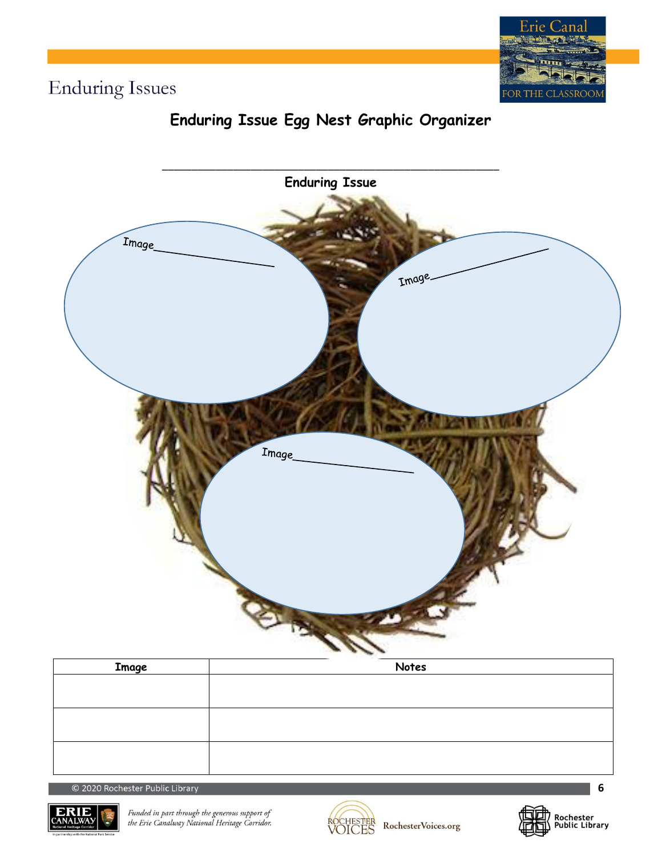

### **Enduring Issue Egg Nest Graphic Organizer**



| <b>Image</b> | Notes |
|--------------|-------|
|              |       |
|              |       |
|              |       |
|              |       |
|              |       |
|              |       |

© 2020 Rochester Public Library



Funded in part through the generous support of<br>the Erie Canalway National Heritage Corridor.



RochesterVoices.org



**6**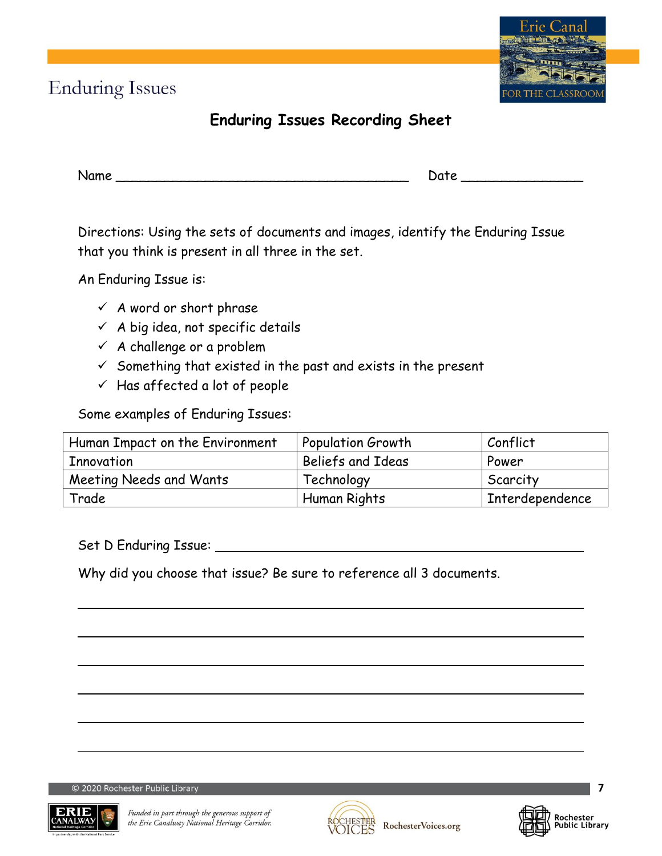### **Enduring Issues Recording Sheet**

| Name | : C<br>$\mathbf{r}$<br>--- |
|------|----------------------------|
|      |                            |

Directions: Using the sets of documents and images, identify the Enduring Issue that you think is present in all three in the set.

An Enduring Issue is:

- $\checkmark$  A word or short phrase
- $\checkmark$  A big idea, not specific details
- $\checkmark$  A challenge or a problem
- $\checkmark$  Something that existed in the past and exists in the present
- $\checkmark$  Has affected a lot of people

Some examples of Enduring Issues:

| Human Impact on the Environment | <b>Population Growth</b> | Conflict        |
|---------------------------------|--------------------------|-----------------|
| Innovation                      | Beliefs and Ideas        | Power           |
| Meeting Needs and Wants         | Technology               | Scarcity        |
| Trade                           | Human Rights             | Interdependence |

Set D Enduring Issue:

Why did you choose that issue? Be sure to reference all 3 documents.

© 2020 Rochester Public Library



Funded in part through the generous support of the Erie Canalway National Heritage Corridor.